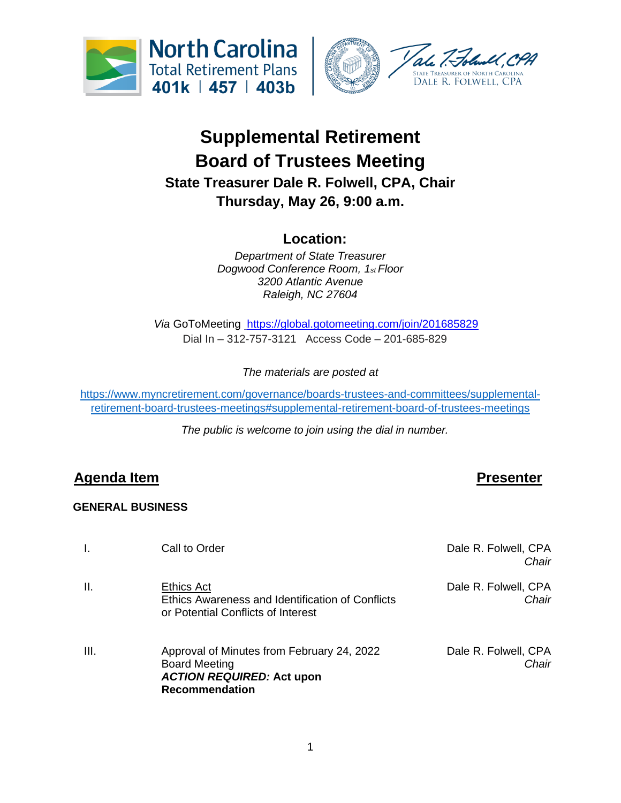



# **Supplemental Retirement Board of Trustees Meeting State Treasurer Dale R. Folwell, CPA, Chair Thursday, May 26, 9:00 a.m.**

## **Location:**

*Department of State Treasurer Dogwood Conference Room, 1st Floor 3200 Atlantic Avenue Raleigh, NC 27604*

*Via* GoToMeeting <https://global.gotomeeting.com/join/201685829> Dial In – 312-757-3121 Access Code – 201-685-829

*The materials are posted at* 

[https://www.myncretirement.com/governance/boards-trustees-and-committees/supplemental](https://www.myncretirement.com/governance/boards-trustees-and-committees/supplemental-retirement-board-trustees-meetings#supplemental-retirement-board-of-trustees-meetings)[retirement-board-trustees-meetings#supplemental-retirement-board-of-trustees-meetings](https://www.myncretirement.com/governance/boards-trustees-and-committees/supplemental-retirement-board-trustees-meetings#supplemental-retirement-board-of-trustees-meetings)

*The public is welcome to join using the dial in number.*

## **Agenda Item Presenter**

### **GENERAL BUSINESS**

|      | Call to Order                                                                                                                   | Dale R. Folwell, CPA<br>Chair |
|------|---------------------------------------------------------------------------------------------------------------------------------|-------------------------------|
| Ш.   | <b>Ethics Act</b><br>Ethics Awareness and Identification of Conflicts<br>or Potential Conflicts of Interest                     | Dale R. Folwell, CPA<br>Chair |
| III. | Approval of Minutes from February 24, 2022<br><b>Board Meeting</b><br><b>ACTION REQUIRED: Act upon</b><br><b>Recommendation</b> | Dale R. Folwell, CPA<br>Chair |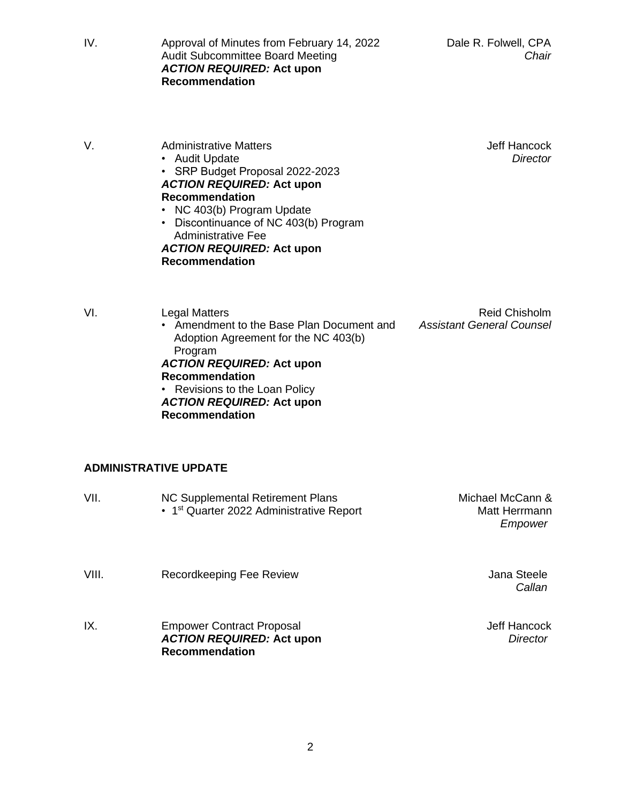Jeff Hancock *Director*

IV. Approval of Minutes from February 14, 2022 Audit Subcommittee Board Meeting *ACTION REQUIRED:* **Act upon Recommendation**

| V. | <b>Administrative Matters</b> |
|----|-------------------------------|
|    | $A_{11}$ dit Llndoto          |

• Audit Update • SRP Budget Proposal 2022-2023

### *ACTION REQUIRED:* **Act upon Recommendation**

- NC 403(b) Program Update
- Discontinuance of NC 403(b) Program Administrative Fee

### *ACTION REQUIRED:* **Act upon Recommendation**

• Revisions to the Loan Policy

*ACTION REQUIRED:* **Act upon**

**Recommendation**

**Recommendation**

VI. Legal Matters • Amendment to the Base Plan Document and Adoption Agreement for the NC 403(b) Program *ACTION REQUIRED:* **Act upon**

Reid Chisholm *Assistant General Counsel*

# **ADMINISTRATIVE UPDATE**

| VII.  | NC Supplemental Retirement Plans<br>• 1 <sup>st</sup> Quarter 2022 Administrative Report      | Michael McCann &<br>Matt Herrmann<br>Empower |
|-------|-----------------------------------------------------------------------------------------------|----------------------------------------------|
| VIII. | Recordkeeping Fee Review                                                                      | Jana Steele<br>Callan                        |
| IX.   | <b>Empower Contract Proposal</b><br><b>ACTION REQUIRED: Act upon</b><br><b>Recommendation</b> | <b>Jeff Hancock</b><br><b>Director</b>       |

2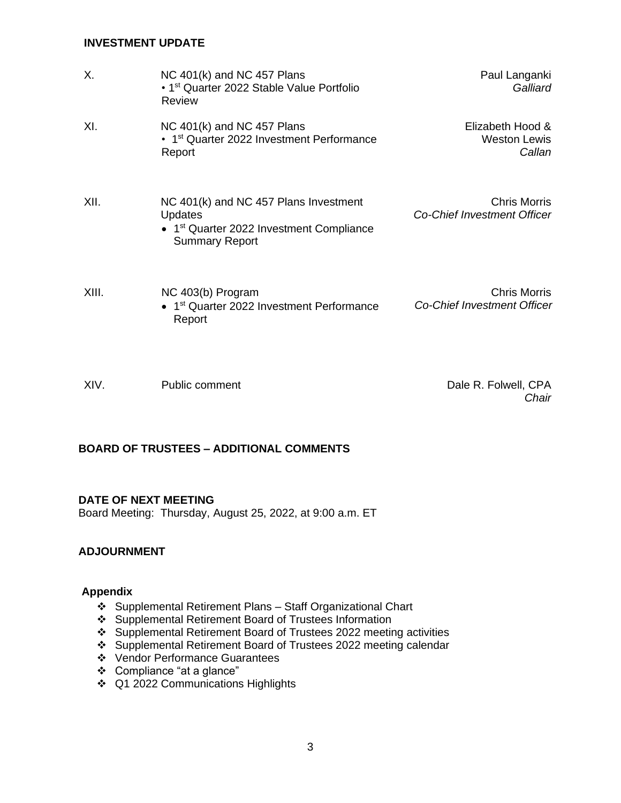### **INVESTMENT UPDATE**

| Χ.    | NC 401(k) and NC 457 Plans<br>• 1 <sup>st</sup> Quarter 2022 Stable Value Portfolio<br>Review                                            | Paul Langanki<br>Galliard                                 |
|-------|------------------------------------------------------------------------------------------------------------------------------------------|-----------------------------------------------------------|
| XI.   | NC 401(k) and NC 457 Plans<br>• 1 <sup>st</sup> Quarter 2022 Investment Performance<br>Report                                            | Elizabeth Hood &<br><b>Weston Lewis</b><br>Callan         |
| XII.  | NC 401(k) and NC 457 Plans Investment<br><b>Updates</b><br>• 1 <sup>st</sup> Quarter 2022 Investment Compliance<br><b>Summary Report</b> | <b>Chris Morris</b><br><b>Co-Chief Investment Officer</b> |
| XIII. | NC 403(b) Program<br>• 1 <sup>st</sup> Quarter 2022 Investment Performance<br>Report                                                     | <b>Chris Morris</b><br><b>Co-Chief Investment Officer</b> |
| XIV.  | Public comment                                                                                                                           | Dale R. Folwell, CPA<br>Chair                             |

### **BOARD OF TRUSTEES – ADDITIONAL COMMENTS**

### **DATE OF NEXT MEETING**

Board Meeting: Thursday, August 25, 2022, at 9:00 a.m. ET

### **ADJOURNMENT**

### **Appendix**

- ❖ Supplemental Retirement Plans Staff Organizational Chart
- ❖ Supplemental Retirement Board of Trustees Information
- ❖ Supplemental Retirement Board of Trustees 2022 meeting activities
- ❖ Supplemental Retirement Board of Trustees 2022 meeting calendar
- ❖ Vendor Performance Guarantees
- ❖ Compliance "at a glance"
- ❖ Q1 2022 Communications Highlights